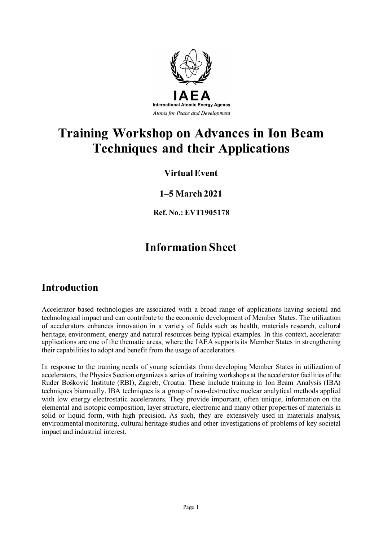

# **Training Workshop on Advances in Ion Beam Techniques and their Applications**

### **Virtual Event**

### **1–5 March 2021**

**Ref. No.: EVT1905178**

# **Information Sheet**

## **Introduction**

Accelerator based technologies are associated with a broad range of applications having societal and technological impact and can contribute to the economic development of Member States. The utilization of accelerators enhances innovation in a variety of fields such as health, materials research, cultural heritage, environment, energy and natural resources being typical examples. In this context, accelerator applications are one of the thematic areas, where the IAEA supports its Member States in strengthening their capabilities to adopt and benefit from the usage of accelerators.

In response to the training needs of young scientists from developing Member States in utilization of accelerators, the Physics Section organizes a series of training workshops at the accelerator facilities of the Ruđer Bošković Institute (RBI), Zagreb, Croatia. These include training in Ion Beam Analysis (IBA) techniques biannually. IBA techniques is a group of non-destructive nuclear analytical methods applied with low energy electrostatic accelerators. They provide important, often unique, information on the elemental and isotopic composition, layer structure, electronic and many other properties of materials in solid or liquid form, with high precision. As such, they are extensively used in materials analysis, environmental monitoring, cultural heritage studies and other investigations of problems of key societal impact and industrial interest.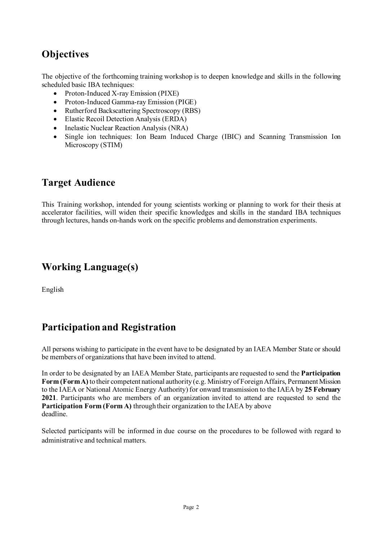## **Objectives**

The objective of the forthcoming training workshop is to deepen knowledge and skills in the following scheduled basic IBA techniques:

- Proton-Induced X-ray Emission (PIXE)
- Proton-Induced Gamma-ray Emission (PIGE)
- Rutherford Backscattering Spectroscopy (RBS)
- Elastic Recoil Detection Analysis (ERDA)
- Inelastic Nuclear Reaction Analysis (NRA)
- Single ion techniques: Ion Beam Induced Charge (IBIC) and Scanning Transmission Ion Microscopy (STIM)

### **Target Audience**

This Training workshop, intended for young scientists working or planning to work for their thesis at accelerator facilities, will widen their specific knowledges and skills in the standard IBA techniques through lectures, hands on-hands work on the specific problems and demonstration experiments.

### **Working Language(s)**

English

## **Participation and Registration**

All persons wishing to participate in the event have to be designated by an IAEA Member State or should be members of organizations that have been invited to attend.

In order to be designated by an IAEA Member State, participants are requested to send the **Participation Form (Form A)** to their competent national authority (e.g. Ministry of Foreign Affairs, Permanent Mission to the IAEA or National Atomic Energy Authority) for onward transmission to the IAEA by **25 February 2021**. Participants who are members of an organization invited to attend are requested to send the **Participation Form (Form A)** through their organization to the IAEA by above deadline.

Selected participants will be informed in due course on the procedures to be followed with regard to administrative and technical matters.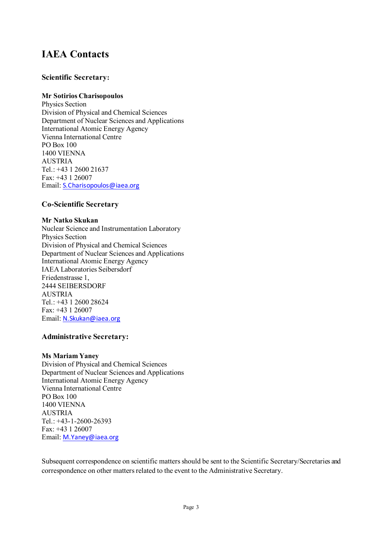### **IAEA Contacts**

#### **Scientific Secretary:**

#### **Mr Sotirios Charisopoulos**

Physics Section Division of Physical and Chemical Sciences Department of Nuclear Sciences and Applications International Atomic Energy Agency Vienna International Centre PO Box 100 1400 VIENNA AUSTRIA Tel.: +43 1 2600 21637 Fax: +43 1 26007 Email: [S.Charisopoulos@iaea.org](mailto:S.Charisopoulos@iaea.org)

#### **Co-Scientific Secretary**

#### **Mr Natko Skukan**

Nuclear Science and Instrumentation Laboratory Physics Section Division of Physical and Chemical Sciences Department of Nuclear Sciences and Applications International Atomic Energy Agency IAEA Laboratories Seibersdorf Friedenstrasse 1, 2444 SEIBERSDORF AUSTRIA Tel.: +43 1 2600 28624 Fax: +43 1 26007 Email: [N.Skukan@iaea.org](mailto:N.Skukan@iaea.org)

#### **Administrative Secretary:**

#### **Ms Mariam Yaney**

Division of Physical and Chemical Sciences Department of Nuclear Sciences and Applications International Atomic Energy Agency Vienna International Centre PO Box 100 1400 VIENNA AUSTRIA Tel.: +43-1-2600-26393 Fax: +43 1 26007 Email: [M.Yaney@iaea.org](mailto:M.Yaney@iaea.org)

Subsequent correspondence on scientific matters should be sent to the Scientific Secretary/Secretaries and correspondence on other matters related to the event to the Administrative Secretary.